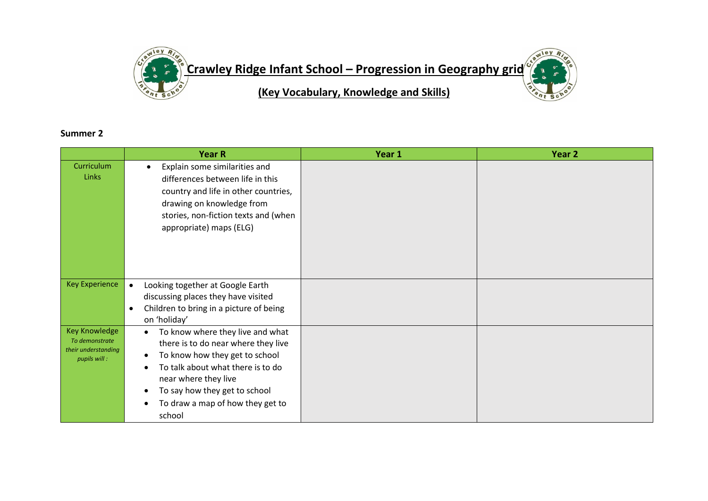

## **Summer 2**

|                                                                               | <b>Year R</b>                                                                                                                                                                                                                                         | Year 1 | Year 2 |
|-------------------------------------------------------------------------------|-------------------------------------------------------------------------------------------------------------------------------------------------------------------------------------------------------------------------------------------------------|--------|--------|
| Curriculum<br>Links                                                           | Explain some similarities and<br>$\bullet$<br>differences between life in this<br>country and life in other countries,<br>drawing on knowledge from<br>stories, non-fiction texts and (when<br>appropriate) maps (ELG)                                |        |        |
| <b>Key Experience</b>                                                         | Looking together at Google Earth<br>$\bullet$<br>discussing places they have visited<br>Children to bring in a picture of being<br>$\bullet$<br>on 'holiday'                                                                                          |        |        |
| <b>Key Knowledge</b><br>To demonstrate<br>their understanding<br>pupils will: | To know where they live and what<br>there is to do near where they live<br>To know how they get to school<br>To talk about what there is to do<br>near where they live<br>To say how they get to school<br>To draw a map of how they get to<br>school |        |        |